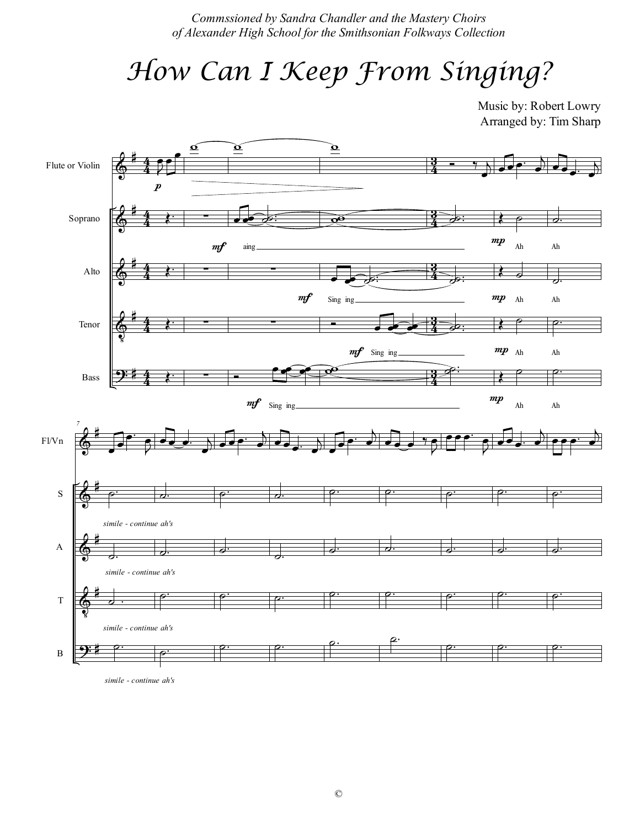Commssioned by Sandra Chandler and the Mastery Choirs of Alexander High School for the Smithsonian Folkways Collection

## How Can I Keep From Singing?

Music by: Robert Lowry Arranged by: Tim Sharp



simile - continue ah's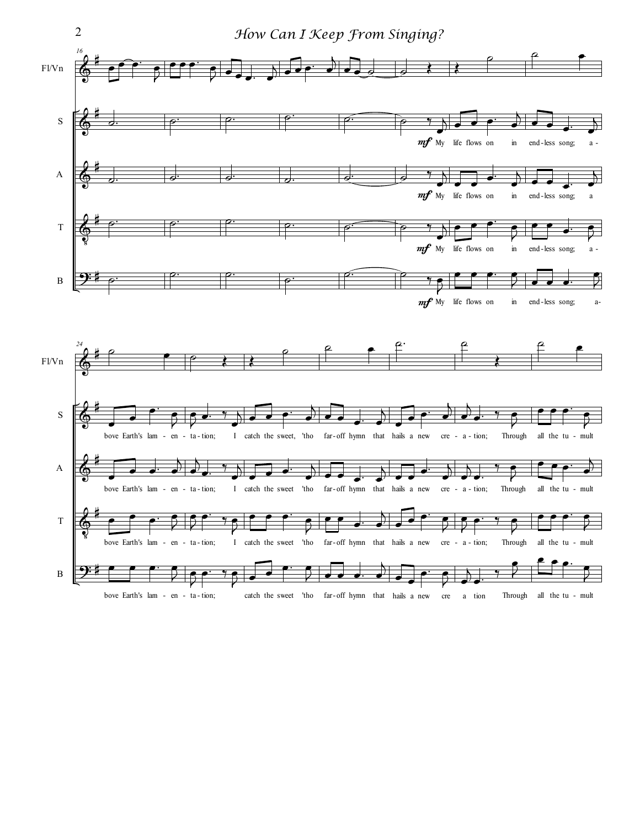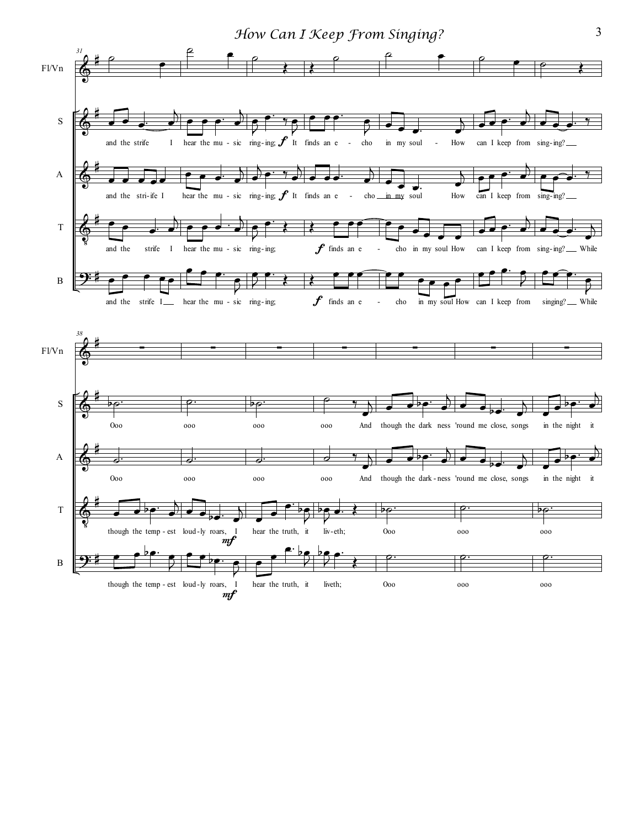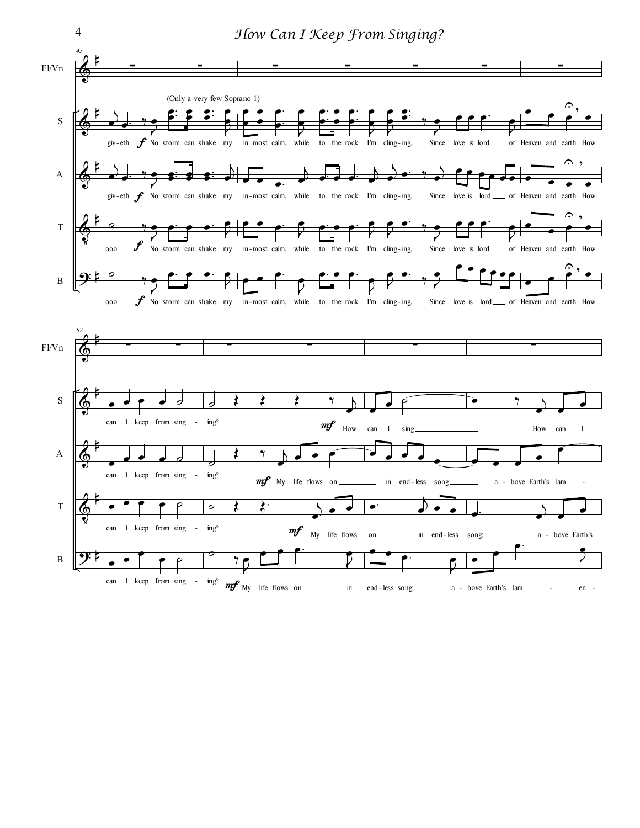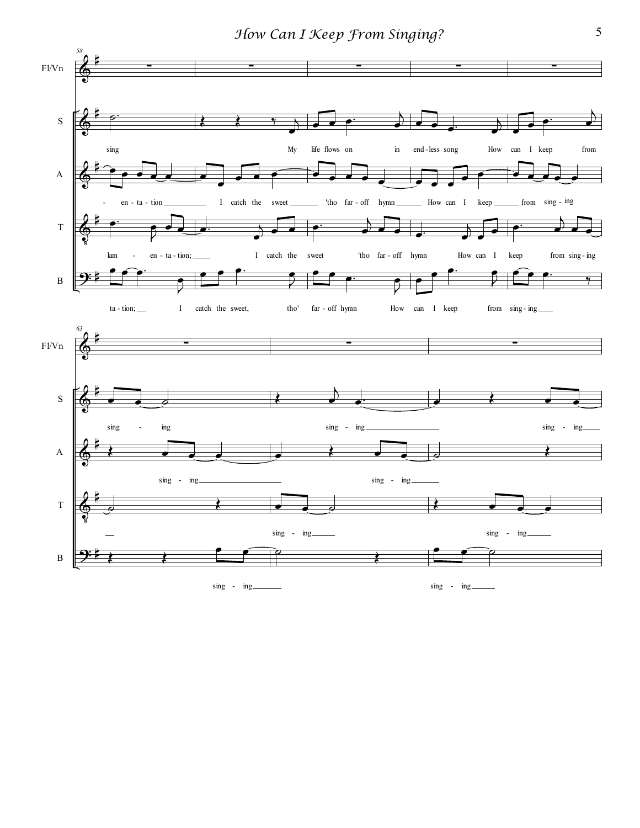